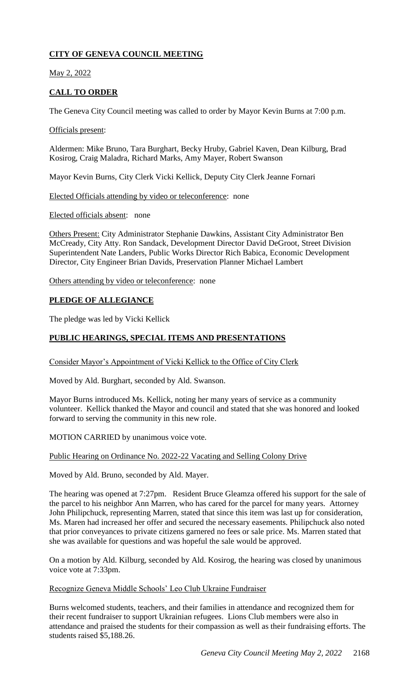# **CITY OF GENEVA COUNCIL MEETING**

May 2, 2022

# **CALL TO ORDER**

The Geneva City Council meeting was called to order by Mayor Kevin Burns at 7:00 p.m.

### Officials present:

Aldermen: Mike Bruno, Tara Burghart, Becky Hruby, Gabriel Kaven, Dean Kilburg, Brad Kosirog, Craig Maladra, Richard Marks, Amy Mayer, Robert Swanson

Mayor Kevin Burns, City Clerk Vicki Kellick, Deputy City Clerk Jeanne Fornari

Elected Officials attending by video or teleconference: none

Elected officials absent: none

Others Present: City Administrator Stephanie Dawkins, Assistant City Administrator Ben McCready, City Atty. Ron Sandack, Development Director David DeGroot, Street Division Superintendent Nate Landers, Public Works Director Rich Babica, Economic Development Director, City Engineer Brian Davids, Preservation Planner Michael Lambert

Others attending by video or teleconference: none

### **PLEDGE OF ALLEGIANCE**

The pledge was led by Vicki Kellick

### **PUBLIC HEARINGS, SPECIAL ITEMS AND PRESENTATIONS**

Consider Mayor's Appointment of Vicki Kellick to the Office of City Clerk

Moved by Ald. Burghart, seconded by Ald. Swanson.

Mayor Burns introduced Ms. Kellick, noting her many years of service as a community volunteer. Kellick thanked the Mayor and council and stated that she was honored and looked forward to serving the community in this new role.

MOTION CARRIED by unanimous voice vote.

### Public Hearing on Ordinance No. 2022-22 Vacating and Selling Colony Drive

Moved by Ald. Bruno, seconded by Ald. Mayer.

The hearing was opened at 7:27pm. Resident Bruce Gleamza offered his support for the sale of the parcel to his neighbor Ann Marren, who has cared for the parcel for many years. Attorney John Philipchuck, representing Marren, stated that since this item was last up for consideration, Ms. Maren had increased her offer and secured the necessary easements. Philipchuck also noted that prior conveyances to private citizens garnered no fees or sale price. Ms. Marren stated that she was available for questions and was hopeful the sale would be approved.

On a motion by Ald. Kilburg, seconded by Ald. Kosirog, the hearing was closed by unanimous voice vote at 7:33pm.

Recognize Geneva Middle Schools' Leo Club Ukraine Fundraiser

Burns welcomed students, teachers, and their families in attendance and recognized them for their recent fundraiser to support Ukrainian refugees. Lions Club members were also in attendance and praised the students for their compassion as well as their fundraising efforts. The students raised \$5,188.26.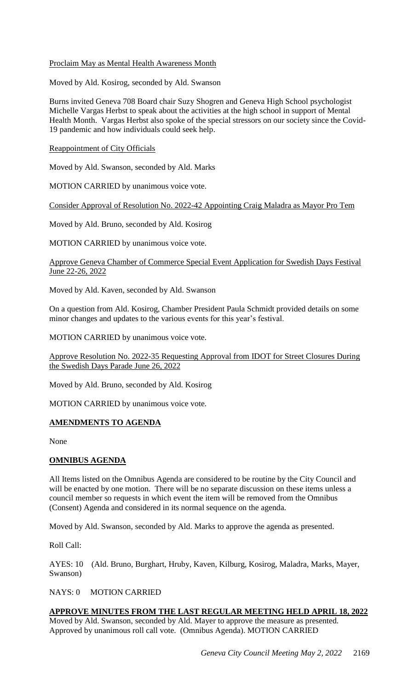### Proclaim May as Mental Health Awareness Month

Moved by Ald. Kosirog, seconded by Ald. Swanson

Burns invited Geneva 708 Board chair Suzy Shogren and Geneva High School psychologist Michelle Vargas Herbst to speak about the activities at the high school in support of Mental Health Month. Vargas Herbst also spoke of the special stressors on our society since the Covid-19 pandemic and how individuals could seek help.

Reappointment of City Officials

Moved by Ald. Swanson, seconded by Ald. Marks

MOTION CARRIED by unanimous voice vote.

Consider Approval of Resolution No. 2022-42 Appointing Craig Maladra as Mayor Pro Tem

Moved by Ald. Bruno, seconded by Ald. Kosirog

MOTION CARRIED by unanimous voice vote.

Approve Geneva Chamber of Commerce Special Event Application for Swedish Days Festival June 22-26, 2022

Moved by Ald. Kaven, seconded by Ald. Swanson

On a question from Ald. Kosirog, Chamber President Paula Schmidt provided details on some minor changes and updates to the various events for this year's festival.

MOTION CARRIED by unanimous voice vote.

Approve Resolution No. 2022-35 Requesting Approval from IDOT for Street Closures During the Swedish Days Parade June 26, 2022

Moved by Ald. Bruno, seconded by Ald. Kosirog

MOTION CARRIED by unanimous voice vote.

### **AMENDMENTS TO AGENDA**

None

### **OMNIBUS AGENDA**

All Items listed on the Omnibus Agenda are considered to be routine by the City Council and will be enacted by one motion. There will be no separate discussion on these items unless a council member so requests in which event the item will be removed from the Omnibus (Consent) Agenda and considered in its normal sequence on the agenda.

Moved by Ald. Swanson, seconded by Ald. Marks to approve the agenda as presented.

Roll Call:

AYES: 10 (Ald. Bruno, Burghart, Hruby, Kaven, Kilburg, Kosirog, Maladra, Marks, Mayer, Swanson)

NAYS: 0 MOTION CARRIED

## **APPROVE MINUTES FROM THE LAST REGULAR MEETING HELD APRIL 18, 2022**

Moved by Ald. Swanson, seconded by Ald. Mayer to approve the measure as presented. Approved by unanimous roll call vote. (Omnibus Agenda). MOTION CARRIED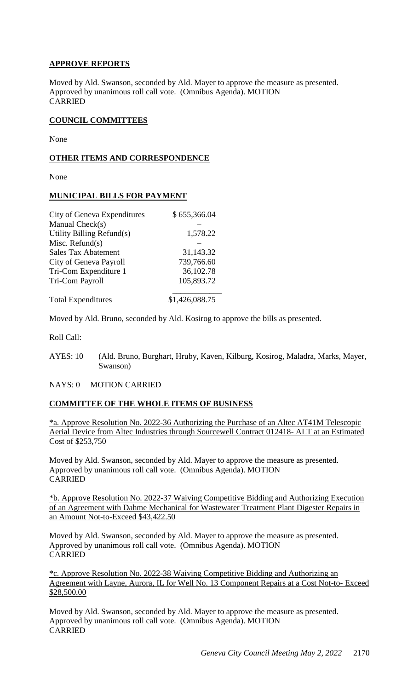## **APPROVE REPORTS**

Moved by Ald. Swanson, seconded by Ald. Mayer to approve the measure as presented. Approved by unanimous roll call vote. (Omnibus Agenda). MOTION CARRIED

#### **COUNCIL COMMITTEES**

None

#### **OTHER ITEMS AND CORRESPONDENCE**

None

### **MUNICIPAL BILLS FOR PAYMENT**

| City of Geneva Expenditures | \$655,366.04   |
|-----------------------------|----------------|
| Manual Check(s)             |                |
| Utility Billing Refund(s)   | 1,578.22       |
| Misc. Refund $(s)$          |                |
| <b>Sales Tax Abatement</b>  | 31,143.32      |
| City of Geneva Payroll      | 739,766.60     |
| Tri-Com Expenditure 1       | 36,102.78      |
| Tri-Com Payroll             | 105,893.72     |
| <b>Total Expenditures</b>   | \$1,426,088.75 |

Moved by Ald. Bruno, seconded by Ald. Kosirog to approve the bills as presented.

Roll Call:

AYES: 10 (Ald. Bruno, Burghart, Hruby, Kaven, Kilburg, Kosirog, Maladra, Marks, Mayer, Swanson)

NAYS: 0 MOTION CARRIED

### **COMMITTEE OF THE WHOLE ITEMS OF BUSINESS**

\*a. Approve Resolution No. 2022-36 Authorizing the Purchase of an Altec AT41M Telescopic Aerial Device from Altec Industries through Sourcewell Contract 012418- ALT at an Estimated Cost of \$253,750

Moved by Ald. Swanson, seconded by Ald. Mayer to approve the measure as presented. Approved by unanimous roll call vote. (Omnibus Agenda). MOTION CARRIED

\*b. Approve Resolution No. 2022-37 Waiving Competitive Bidding and Authorizing Execution of an Agreement with Dahme Mechanical for Wastewater Treatment Plant Digester Repairs in an Amount Not-to-Exceed \$43,422.50

Moved by Ald. Swanson, seconded by Ald. Mayer to approve the measure as presented. Approved by unanimous roll call vote. (Omnibus Agenda). MOTION CARRIED

\*c. Approve Resolution No. 2022-38 Waiving Competitive Bidding and Authorizing an Agreement with Layne, Aurora, IL for Well No. 13 Component Repairs at a Cost Not-to- Exceed \$28,500.00

Moved by Ald. Swanson, seconded by Ald. Mayer to approve the measure as presented. Approved by unanimous roll call vote. (Omnibus Agenda). MOTION CARRIED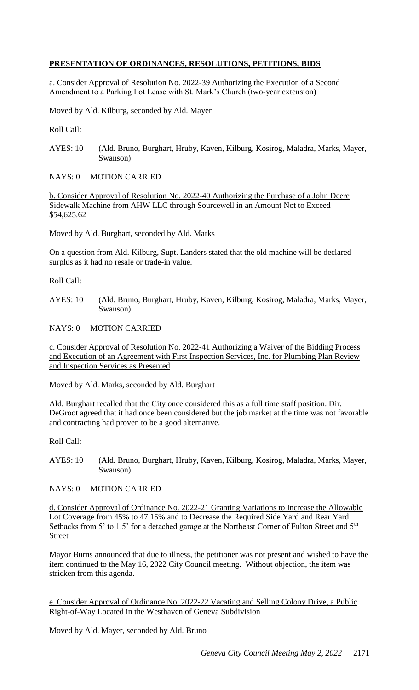## **PRESENTATION OF ORDINANCES, RESOLUTIONS, PETITIONS, BIDS**

a. Consider Approval of Resolution No. 2022-39 Authorizing the Execution of a Second Amendment to a Parking Lot Lease with St. Mark's Church (two-year extension)

Moved by Ald. Kilburg, seconded by Ald. Mayer

Roll Call:

AYES: 10 (Ald. Bruno, Burghart, Hruby, Kaven, Kilburg, Kosirog, Maladra, Marks, Mayer, Swanson)

NAYS: 0 MOTION CARRIED

b. Consider Approval of Resolution No. 2022-40 Authorizing the Purchase of a John Deere Sidewalk Machine from AHW LLC through Sourcewell in an Amount Not to Exceed \$54,625.62

Moved by Ald. Burghart, seconded by Ald. Marks

On a question from Ald. Kilburg, Supt. Landers stated that the old machine will be declared surplus as it had no resale or trade-in value.

Roll Call:

AYES: 10 (Ald. Bruno, Burghart, Hruby, Kaven, Kilburg, Kosirog, Maladra, Marks, Mayer, Swanson)

NAYS: 0 MOTION CARRIED

c. Consider Approval of Resolution No. 2022-41 Authorizing a Waiver of the Bidding Process and Execution of an Agreement with First Inspection Services, Inc. for Plumbing Plan Review and Inspection Services as Presented

Moved by Ald. Marks, seconded by Ald. Burghart

Ald. Burghart recalled that the City once considered this as a full time staff position. Dir. DeGroot agreed that it had once been considered but the job market at the time was not favorable and contracting had proven to be a good alternative.

Roll Call:

- AYES: 10 (Ald. Bruno, Burghart, Hruby, Kaven, Kilburg, Kosirog, Maladra, Marks, Mayer, Swanson)
- NAYS: 0 MOTION CARRIED

d. Consider Approval of Ordinance No. 2022-21 Granting Variations to Increase the Allowable Lot Coverage from 45% to 47.15% and to Decrease the Required Side Yard and Rear Yard Setbacks from 5' to 1.5' for a detached garage at the Northeast Corner of Fulton Street and 5<sup>th</sup> Street

Mayor Burns announced that due to illness, the petitioner was not present and wished to have the item continued to the May 16, 2022 City Council meeting. Without objection, the item was stricken from this agenda.

e. Consider Approval of Ordinance No. 2022-22 Vacating and Selling Colony Drive, a Public Right-of-Way Located in the Westhaven of Geneva Subdivision

Moved by Ald. Mayer, seconded by Ald. Bruno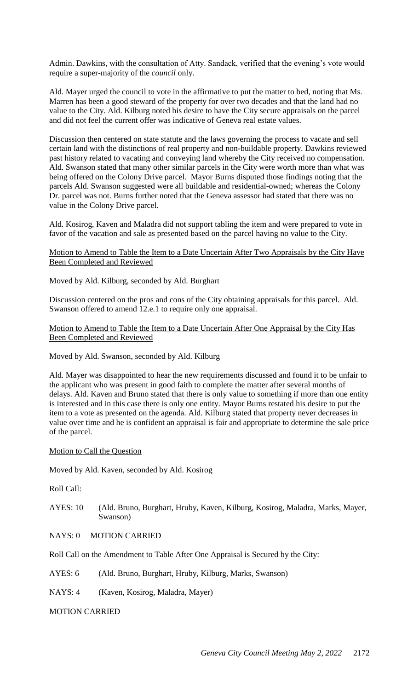Admin. Dawkins, with the consultation of Atty. Sandack, verified that the evening's vote would require a super-majority of the *council* only.

Ald. Mayer urged the council to vote in the affirmative to put the matter to bed, noting that Ms. Marren has been a good steward of the property for over two decades and that the land had no value to the City. Ald. Kilburg noted his desire to have the City secure appraisals on the parcel and did not feel the current offer was indicative of Geneva real estate values.

Discussion then centered on state statute and the laws governing the process to vacate and sell certain land with the distinctions of real property and non-buildable property. Dawkins reviewed past history related to vacating and conveying land whereby the City received no compensation. Ald. Swanson stated that many other similar parcels in the City were worth more than what was being offered on the Colony Drive parcel. Mayor Burns disputed those findings noting that the parcels Ald. Swanson suggested were all buildable and residential-owned; whereas the Colony Dr. parcel was not. Burns further noted that the Geneva assessor had stated that there was no value in the Colony Drive parcel.

Ald. Kosirog, Kaven and Maladra did not support tabling the item and were prepared to vote in favor of the vacation and sale as presented based on the parcel having no value to the City.

#### Motion to Amend to Table the Item to a Date Uncertain After Two Appraisals by the City Have Been Completed and Reviewed

Moved by Ald. Kilburg, seconded by Ald. Burghart

Discussion centered on the pros and cons of the City obtaining appraisals for this parcel. Ald. Swanson offered to amend 12.e.1 to require only one appraisal.

#### Motion to Amend to Table the Item to a Date Uncertain After One Appraisal by the City Has Been Completed and Reviewed

Moved by Ald. Swanson, seconded by Ald. Kilburg

Ald. Mayer was disappointed to hear the new requirements discussed and found it to be unfair to the applicant who was present in good faith to complete the matter after several months of delays. Ald. Kaven and Bruno stated that there is only value to something if more than one entity is interested and in this case there is only one entity. Mayor Burns restated his desire to put the item to a vote as presented on the agenda. Ald. Kilburg stated that property never decreases in value over time and he is confident an appraisal is fair and appropriate to determine the sale price of the parcel.

### Motion to Call the Question

Moved by Ald. Kaven, seconded by Ald. Kosirog

Roll Call:

- AYES: 10 (Ald. Bruno, Burghart, Hruby, Kaven, Kilburg, Kosirog, Maladra, Marks, Mayer, Swanson)
- NAYS: 0 MOTION CARRIED

Roll Call on the Amendment to Table After One Appraisal is Secured by the City:

AYES: 6 (Ald. Bruno, Burghart, Hruby, Kilburg, Marks, Swanson)

NAYS: 4 (Kaven, Kosirog, Maladra, Mayer)

MOTION CARRIED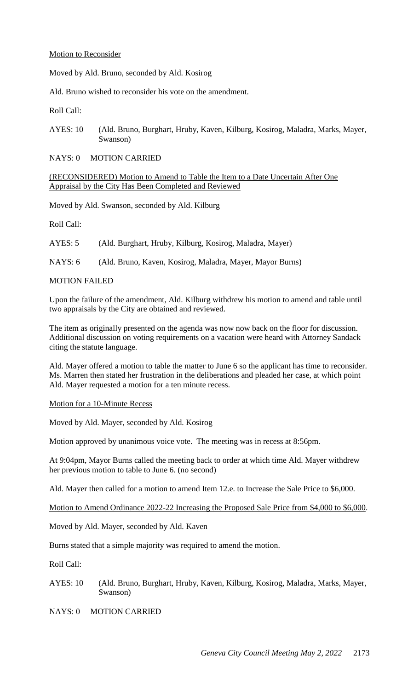#### Motion to Reconsider

Moved by Ald. Bruno, seconded by Ald. Kosirog

Ald. Bruno wished to reconsider his vote on the amendment.

Roll Call:

AYES: 10 (Ald. Bruno, Burghart, Hruby, Kaven, Kilburg, Kosirog, Maladra, Marks, Mayer, Swanson)

NAYS: 0 MOTION CARRIED

(RECONSIDERED) Motion to Amend to Table the Item to a Date Uncertain After One Appraisal by the City Has Been Completed and Reviewed

Moved by Ald. Swanson, seconded by Ald. Kilburg

Roll Call:

AYES: 5 (Ald. Burghart, Hruby, Kilburg, Kosirog, Maladra, Mayer)

NAYS: 6 (Ald. Bruno, Kaven, Kosirog, Maladra, Mayer, Mayor Burns)

#### MOTION FAILED

Upon the failure of the amendment, Ald. Kilburg withdrew his motion to amend and table until two appraisals by the City are obtained and reviewed.

The item as originally presented on the agenda was now now back on the floor for discussion. Additional discussion on voting requirements on a vacation were heard with Attorney Sandack citing the statute language.

Ald. Mayer offered a motion to table the matter to June 6 so the applicant has time to reconsider. Ms. Marren then stated her frustration in the deliberations and pleaded her case, at which point Ald. Mayer requested a motion for a ten minute recess.

#### Motion for a 10-Minute Recess

Moved by Ald. Mayer, seconded by Ald. Kosirog

Motion approved by unanimous voice vote. The meeting was in recess at 8:56pm.

At 9:04pm, Mayor Burns called the meeting back to order at which time Ald. Mayer withdrew her previous motion to table to June 6. (no second)

Ald. Mayer then called for a motion to amend Item 12.e. to Increase the Sale Price to \$6,000.

Motion to Amend Ordinance 2022-22 Increasing the Proposed Sale Price from \$4,000 to \$6,000.

Moved by Ald. Mayer, seconded by Ald. Kaven

Burns stated that a simple majority was required to amend the motion.

Roll Call:

- AYES: 10 (Ald. Bruno, Burghart, Hruby, Kaven, Kilburg, Kosirog, Maladra, Marks, Mayer, Swanson)
- NAYS: 0 MOTION CARRIED